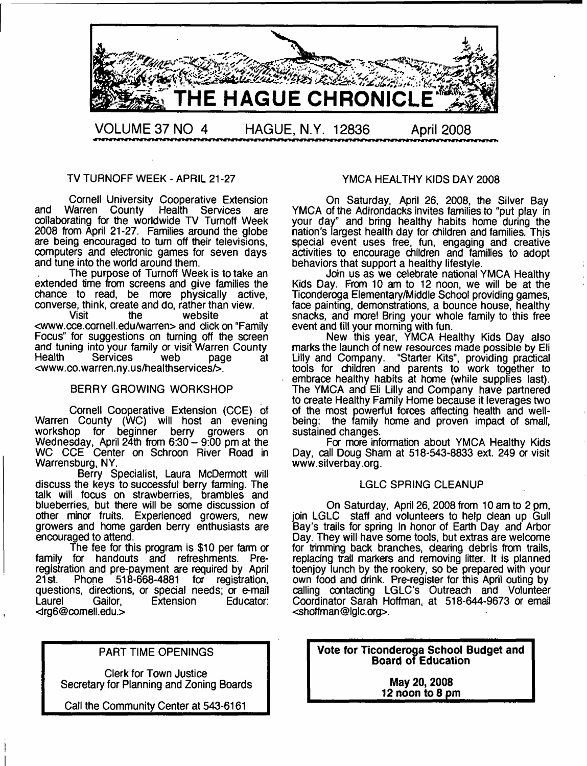

#### TV TURNOFF WEEK - APRIL 21-27

Cornell University Cooperative Extension and Warren County Health Services are collaborating for the worldwide TV Turnoff Week 2008 from April 21-27. Families around the globe are being encouraged to turn off their televisions, computers and electronic games for seven days and tune into the world around them.

The purpose of Turnoff Week is to take an extended time from screens and give families the chance to read, be more physically active, converse, think, create and do, rather than view.

website at <[www.cce.cornell.edu/warren](http://www.cce.cornell.edu/warren)> and dick on "Family Focus" for suggestions on turning off the screen and tuning into your family or visit Warren County<br>Health Services web page at Services web page at <[www.co.warren.ny.us/healthservices/>](http://www.co.warren.ny.us/healthservices/).

#### BERRY GROWING WORKSHOP

Cornell Cooperative Extension (CCE) of Warren County (WC) will host an evening workshop for beginner berry growers on Wednesday, April 24th from 6:30 - 9:00 pm at the WC CCE Center on Schroon River Road in Warrensburg, NY.

Berry Spedalist, Laura McDermott will discuss the keys to successful berry farming. The talk will focus on strawberries, brambles and blueberries, but there will be some discussion of other minor fruits. Experienced growers, new growers and home garden berry enthusiasts are encouraged to attend.

The fee for this program is \$10 per farm or family for handouts and refreshments. Preregistration and pre-payment are required by April<br>21st. Phone 518-668-4881 for registration, Phone 518-668-4881 for questions, directions, or special needs; or e-mail<br>Laurel Cailor, Extension Educator: **Extension** <[irg6@comell.edu](mailto:rg6@comell.edu).>

#### PART TIME OPENINGS

Clerk for Town Justice Secretary for Planning and Zoning Boards

Call the Community Center at 543-6161

#### YMCA HEALTHY KIDS DAY 2008

On Saturday, April 26, 2008, the Silver Bay YMCA of the Adirondacks invites families to "put play in your day" and bring healthy habits home during the nation's largest health day for children and families. This special event uses free, fun, engaging and creative activities to encourage children and families to adopt behaviors that support a healthy lifestyle.

Join us as we celebrate national YMCA Healthy Kids Day. From 10 am to 12 noon, we will be at the Ticonderoga Elementary/Middle School providing games, face painting, demonstrations, a bounce house, healthy snacks, and more! Bring your whole family to this free event and fill your morning with fun.

New this year, YMCA Healthy Kids Day also marks the launch of new resources made possible by Eli Lilly and Company. "Starter Kits", providing practical tools for children and parents to work together to embrace healthy habits at home (while supplies last). The YMCA and Eli Lilly and Company have partnered to create Healthy Family Home because it leverages two of the most powerful forces affecting health and wellbeing: the family home and proven impact of small, sustained changes.

For more information about YMCA Healthy Kids Day, call Doug Sham at 518-543-8833 ext. 249 or visit [www.silverbay.org](http://www.silverbay.org).

#### LGLC SPRING CLEANUP

On Saturday, April 26, 2008 from 10 am to 2 pm, join LGLC staff and volunteers to help dean up Gull Bay's trails for spring In honor of Earth Day and Arbor Day. They will have some tools, but extras are welcome for trimming back branches, dearing debris from trails, replacing trail markers and removing litter. It is planned toenjoy lunch by the rookery, so be prepared with your own food and drink. Pre-register for this April outing by calling contacting LGLC's Outreach and Volunteer Coordinator Sarah Hoffman, at 518-644-9673 or email <[shoffman@lglc.org>](mailto:shoffman@lglc.org).

**Vote for Ticonderoga School Budget and Board of Education**

> **May 20, 2008 \_\_\_\_\_\_\_\_\_\_\_ 12 noon to 8 pm\_\_\_\_\_\_\_\_\_\_\_**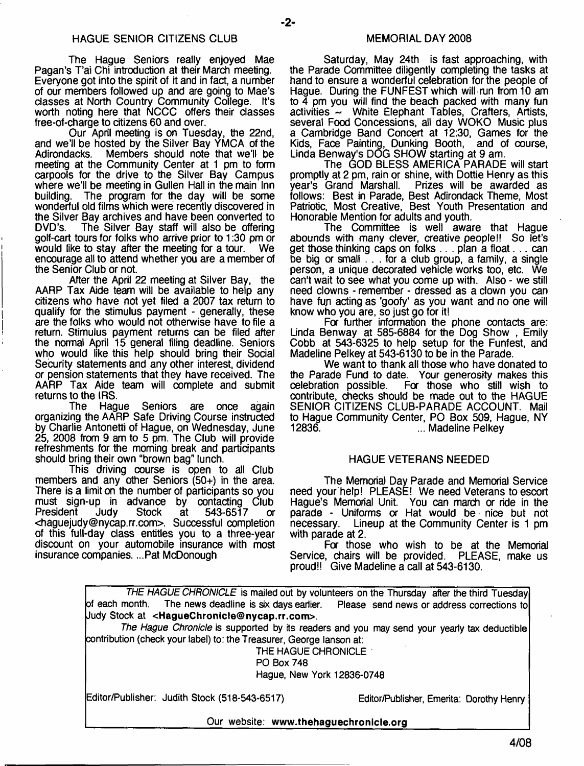- **2**-

The Hague Seniors really enjoyed Mae Pagan's T'ai Chi introduction at their March meeting. Everyone got into the spirit of it and in fact, a number of our members followed up and are going to Mae's classes at North Country Community College. It's worth noting here that NCCC offers their classes free-of-charge to citizens 60 and over.

Our April meeting is on Tuesday, the 22nd, and we'll be hosted by the Silver Bay YMCA of the Members should note that we'll be meeting at the Community Center at 1 pm to form carpools for the drive to the Silver Bay Campus where we'll be meeting in Gullen Hall in the main Inn building. The program for the day will be some wonderful old films which were recently discovered in the Silver Bay archives and have been converted to<br>DVD's. The Silver Bay staff will also be offering The Silver Bay staff will also be offering golf-cart tours for folks who arrive prior to 1:30 pm or would like to stay after the meeting for a tour. We encourage all to attend whether you are a member of the Senior Club or not.

After the April 22 meeting at Silver Bay, the AARP Tax Aide team will be available to help any citizens who have not yet filed a 2007 tax return to qualify for the stimulus payment - generally, these are the folks who would not otherwise have to file a return. Stimulus payment returns can be filed after the normal April 15 general filing deadline. Seniors who would like this help should bring their Social Security statements and any other interest, dividend or pension statements that they have received. The AARP Tax Aide team will complete and submit returns to the IRS.<br>The Hag

Hague Seniors are once again organizing the AARP Safe Driving Course instructed by Charlie Antonetti of Hague, on Wednesday, June 25, 2008 from 9 am to 5 pm. The Club will provide refreshments for the morning break and participants should bring their own "brown bag" lunch.

This driving course is open to all Club members and any other Seniors (50+) in the area. There is a limit on the number of participants so you must sign-up in advance by contacting Club<br>President Judy Stock at 543-6517 or  $at = 543-6517$  or <[haguejudy@nycap.rr.com](mailto:haguejudy@nycap.rr.com)>. Successful completion of this full-day class entitles you to a three-year discount on your automobile insurance with most insurance companies. ...Pat McDonough

Saturday, May 24th is fast approaching, with the Parade Committee diligently completing the tasks at hand to ensure a wonderful celebration for the people of Hague. During the FUNFEST which will run from 10 am to  $\overline{4}$  pm you will find the beach packed with many fun activities - White Elephant Tables, Crafters, Artists, several Food Concessions, all day WOKO Music plus a Cambridge Band Concert at 12:30, Games for the Kids, Face Painting, Dunking Booth, and of course, Linda Benway's DOG SHOW starting at 9 am.

The GOD BLESS AMERICA PARADE will start promptly at 2 pm, rain or shine, with Dottie Henry as this Prizes will be awarded as follows: Best in Parade, Best Adirondack Theme, Most Patriotic, Most Creative, Best Youth Presentation and Honorable Mention for adults and youth.

The Committee is well aware that Hague abounds with many clever, creative people!! So let's get those thinking caps on folks .. . plan a float. . . can be big or small . . . for a club group, a family, a single person, a unique decorated vehicle works too, etc. We can't wait to see what you come up with. Also - we still need clowns - remember - dressed as a clown you can have fun acting as 'goofy' as you want and no one will know who you are, so just go for it!

For further information the phone contacts are: Linda Benway at 585-6884 for the Dog Show , Emily Cobb at 543-6325 to help setup for the Funfest, and Madeline Pelkey at 543-6130 to be in the Parade.

We want to thank all those who have donated to the Parade Fund to date. Your generosity makes this celebration possible. Fa those who still wish to contribute, checks should be made out to the HAGUE SENIOR CITIZENS CLUB-PARADE ACCOUNT. Mail to Hague Community Center, PO Box 509, Hague, NY ... Madeline Pelkey

#### HAGUE VETERANS NEEDED

The Memorial Day Parade and Memorial Service need your help! PLEASE! We need Veterans to escort Hague's Memorial Unit. You can march or ride in the parade - Uniforms or Hat would be nice but not<br>necessary. Lineup at the Community Center is 1 pm Lineup at the Community Center is 1 pm with parade at 2.

For those who wish to be at the Memorial Service, chairs will be provided. PLEASE, make us proud!! Give Madeline a call at 543-6130.

|                                                                                                  | THE HAGUE CHRONICLE is mailed out by volunteers on the Thursday after the third Tuesday     |  |  |  |
|--------------------------------------------------------------------------------------------------|---------------------------------------------------------------------------------------------|--|--|--|
| of each month. The news deadline is six days earlier. Please send news or address corrections to |                                                                                             |  |  |  |
| Uudy Stock at <haguechronicle@nycap.rr.com>.</haguechronicle@nycap.rr.com>                       |                                                                                             |  |  |  |
|                                                                                                  | The Hague Chronicle is supported by its readers and you may send your yearly tax deductible |  |  |  |
| contribution (check your label) to: the Treasurer, George lanson at:                             |                                                                                             |  |  |  |
| THE HAGUE CHRONICLE                                                                              |                                                                                             |  |  |  |
| <b>PO Box 748</b>                                                                                |                                                                                             |  |  |  |
| Hague, New York 12836-0748                                                                       |                                                                                             |  |  |  |
| Editor/Publisher: Judith Stock (518-543-6517)                                                    | Editor/Publisher, Emerita: Dorothy Henry                                                    |  |  |  |
| Our website: www.thehaguechronicle.org                                                           |                                                                                             |  |  |  |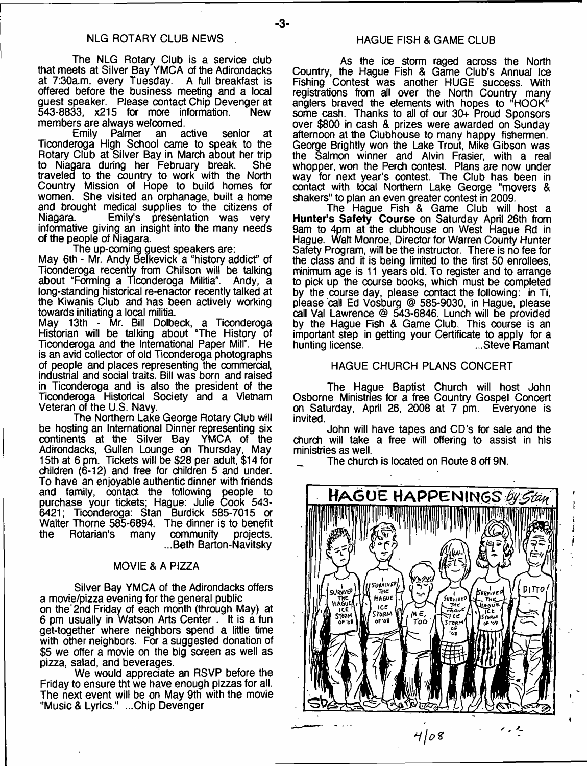-3-

The NLG Rotary Club is a service club that meets at Silver Bay YMCA of the Adirondacks at 7:30a.m. every Tuesday. A full breakfast is offered before the business meeting and a local guest speaker. Please contact Chip Devenger at<br>543-8833. x215 for more information. New  $543-8833$ ,  $x215$  for more information. members are always welcomed.<br>Emily Palmer an active

Emily Palmer an active senior at Ticonderoga High School came to speak to the Rotary Club at Silver Bay in March about her trip<br>to Niagara during her February break. She to Niagara during her February break. traveled to the country to work with the North Country Mission of Hope to build homes for women. She visited an orphanage, built a home and brought medical supplies to the citizens of Emily's presentation was very informative giving an insight into the many needs of the people of Niagara.

The up-coming guest speakers are:

May 6th - Mr. Andy Belkevick a "history addict" of Ticonderoga recently from Chilson will be talking about "Faming a Ticonderoga Militia". Andy, a long-standing historical re-enactor recently talked at the Kiwanis Club and has been actively working towards initiating a local militia.

May 13th - Mr. Bill Dolbeck, a Ticonderoga Historian will be talking about "The History of Ticonderoga and the International Paper Miir. He is an avid collector of old Ticonderoga photographs of people and places representing the commercial, industrial and social traits. Bill was born and raised in Ticonderoga and is also the president of the Ticonderoga Historical Society and a Vietnam Veteran of the U.S. Navy.

The Northern Lake George Rotary Club will be hosting an International Dinner representing six continents at the Silver Bay YMCA of the Adirondacks, Gullen Lounge on Thursday, May 15th at 6 pm. Tickets will be \$28 per adult, \$14 for children (6-12) and free for children 5 and under. To have an enjoyable authentic dinner with friends and family, contact the following people to purchase your tickets; Hague: Julie Cook 543- 6421; Ticonderoga: Stan Burdick 585-7015 a Walter Thorne 585-6894. The dinner is to benefit the Rotarian's many community projects. ...Beth Barton-Navitsky

#### MOVIE & A PIZZA

Silver Bay YMCA of the Adirondacks offers a movie/pizza evening for the general public on the\* 2nd Friday of each month (through May) at 6 pm usually in Watson Arts Center . It is a fun get-together where neighbors spend a little time with other neighbors. For a suggested donation of \$5 we offer a movie on the big screen as well as pizza, salad, and beverages.

We would appreciate an RSVP before the Friday to ensure tht we have enough pizzas for all. The next event will be on May 9th with the movie "Music & Lyrics." ...Chip Devenger

As the ice storm raged across the North Country, the Hague Fish & Game Club's Annual Ice Fishing Contest was another HUGE success. With registrations from all over the North Country many anglers braved the elements with hopes to "HOOK" some cash. Thanks to all of our 30+ Proud Sponsors over \$800 in cash & prizes were awarded on Sunday afternoon at the Clubhouse to many happy fishermen. George Brightly won the Lake Trout, Mike Gibson was the Salmon winner and Alvin Frasier, with a real whopper, won the Perch contest. Plans are now under way for next year's contest. The Club has been in contact with local Northern Lake George "movers & shakers" to plan an even greater contest in 2009.

The Hague Fish & Game Club will host a **Hunter's Safety Course** on Saturday April 26th from 9am to 4pm at the clubhouse on West Hague Rd in Hague. Walt Monroe, Director for Warren County Hunter Safety Program, will be the instructor. There is no fee for the class and it is being limited to the first 50 enrollees, minimum age is 11 years old. To register and to arrange to pick up the course books, which must be completed by the course day, please contact the following: in Ti, please call Ed Vosburg @ 585-9030, in Hague, please call Val Lawrence @ 543-6846. Lunch will be provided by the Hague Fish & Game Club. This course is an important step in getting your Certificate to apply for a hunting license.

#### HAGUE CHURCH PLANS CONCERT

The Hague Baptist Church will host John Osborne Ministries for a free Country Gospel Concert on Saturday, April 26, 2008 at 7 pm. Everyone is invited.

John will have tapes and CD's for sale and the church will take a free will offering to assist in his ministries as well.

The church is located on Route 8 off 9N.

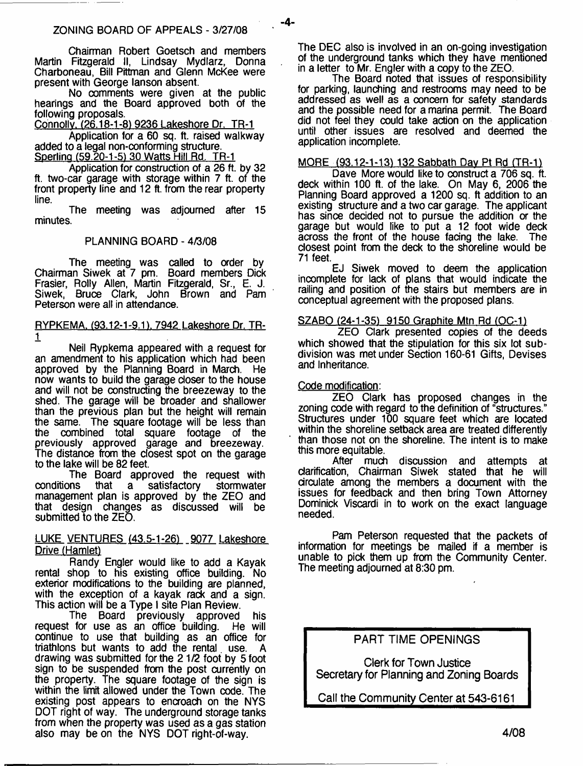Chaimnan Robert Goetsch and members Martin Fitzgerald II, Lindsay Mydlarz, Donna Charboneau, Bill Pittman and Glenn McKee were present with George lanson absent.

No comments were given at the public hearings and the Board approved both of the following proposals.

Connollv. (26.18-1-8) 9236 Lakeshore Dr. TR-1

Application for a 60 sq. ft. raised walkway added to a legaf non-conforming structure. Sperling (59.20-1-5) 30 Watts Hill Rd. TR-1

Application for construction of a 26 ft. by 32 ft. two-car garage with storage within 7 ft. of the front property line and 12 ft. from the rear property line.

The meeting was adjourned after 15 minutes.

#### PLANNING BOARD - 4/3/08

The meeting was called to order by Chairman Siwek at 7 pm. Board members Dick Frasier, Roily Allen, Martin Fitzgerald, Sr., E. J. Siwek, Bruce Clark, John Brown and Pam Peterson were all in attendance.

#### RYPKEMA. (93.12-1-9.1), 7942 Lakeshore Dr. TR-1

Neil Rypkema appeared with a request for an amendment to his application which had been approved by the Planning Board in March. He now wants to build the garage closer to the house and will not be constructing the breezeway to the shed. The garage will be broader and shallower than the previous plan but the height will remain the same. The square footage will be less than the combined total square footage of the previously approved garage and breezeway. The distance from the closest spot on the garage to the lake will be 82 feet.

The Board approved the request with<br>conditions that a satisfactory stormwater **Conditions** satisfactory management plan is approved by the ZEO and that design changes as discussed will be submitted to the ZEO.

## LUKE VENTURES (43.5-1-26) 9077 Lakeshore Drive (Hamlet)

Randy Engler would like to add a Kayak rental shop to his existing office building. No exterior modifications to the building are planned, with the exception of a kayak rack and a sign. This action will be a Type I site Plan Review.

The Board previously approved his request for use as an office building. He will continue to use that building as an office for triathlons but wants to add the rental use. A drawing was submitted for the 21/2 foot by 5 foot sign to be suspended from the post currently on the property. The square footage of the sign is within the limit allowed under the Town code. The existing post appears to encroach on the NYS DOT right of way. The underground storage tanks from when the property was used as a gas station also may be on the NYS DOT right-of-way.

The DEC also is involved in an on-going investigation of the underground tanks which they have mentioned in a letter to Mr. Engler with a copy to the ZEO.

The Board noted that issues of responsibility for parking, launching and restrooms may need to be addressed as well as a concern for safety standards and the possible need for a marina permit. The Board did not feel they could take action on the application until other issues are resolved and deemed the application incomplete.

## MORE (93.12-1-13) 132 Sabbath Day Pt Rd (TR-1)

Dave More would like to construct a 706 sq. ft. deck within 100 ft. of the lake. On May 6, 2006 the Planning Board approved a 1200 sq. ft addition to an existing structure and a two car garage. The applicant has since decided not to pursue the addition or the garage but would like to put a 12 foot wide deck across the front of the house facing the lake. The closest point from the deck to the shoreline would be 71 feet.

EJ Siwek moved to deem the application incomplete for lack of plans that would indicate the railing and position of the stairs but members are in conceptual agreement with the proposed plans.

## SZABO (24-1-35) 9150 Graphite Mtn Rd (OC-1)

ZEO Clark presented copies of the deeds which showed that the stipulation for this six lot subdivision was met under Section 160-61 Gifts, Devises and Inheritance.

#### Code modification:

- **4**-

ZEO Clark has proposed changes in the zoning code with regard to the definition of "structures." Structures under 100 square feet which are located within the shoreline setback area are treated differently than those not on the shoreline. The intent is to make this more equitable.

After much discussion and attempts at clarification, Chairman Siwek stated that he will circulate among the members a document with the issues for feedback and then bring Town Attorney Dominick Viscardi in to work on the exact language needed.

Pam Peterson requested that the packets of information for meetings be mailed if a member is unable to pick them up from the Community Center. The meeting adjourned at 8:30 pm.

**PART TIME OPENINGS**

**Clerk for Town Justice Secretary for Planning and Zoning Boards**

**Call the Community Center at 543-6161**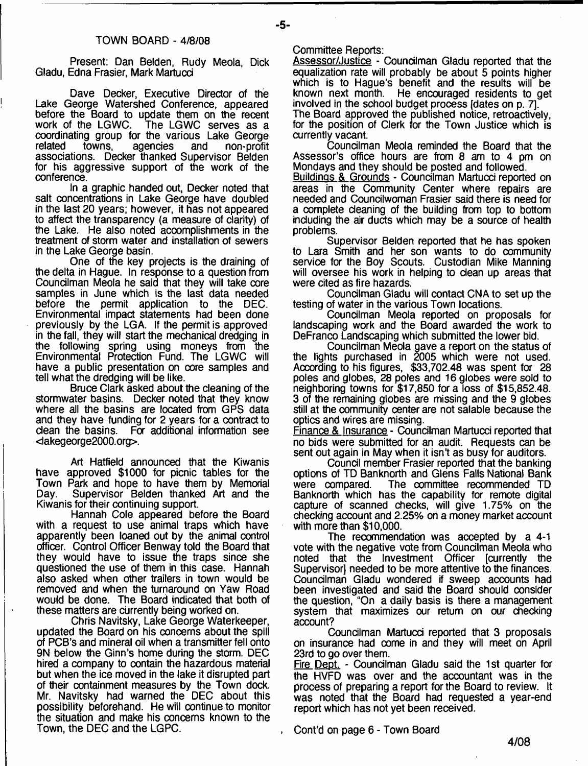Present: Dan Belden, Rudy Meola, Dick Gladu, Edna Frasier, Mark Martucd

Dave Decker, Executive Director of the Lake George Watershed Conference, appeared before the Board to update them on the recent<br>work of the LGWC. The LGWC serves as a The LGWC serves as a coordinating group for the various Lake George related towns, agencies and non-profit associations. Decker thanked Supervisor Belden for his aggressive support of the work of the conference.

In a graphic handed out, Decker noted that salt concentrations in Lake George have doubled in the last 20 years; however, it has not appeared to affect the transparency (a measure of clarity) of the Lake. He also noted accomplishments in the treatment of storm water and installation of sewers in the Lake George basin.

One of the key projects is the draining of the delta in Hague. In response to a question from Councilman Meola he said that they will take core samples in June which is the last data needed before the permit application to the DEC. Environmental impact statements had been done previously by the LGA. If the permit is approved in the fall, they will start the mechanical dredging in the following spring using moneys from the Environmental Protection Fund. The LGWC will have a public presentation on core samples and tell what the dredging will be like.

Bruce Clark asked about the cleaning of the stormwater basins. Decker noted that they know where all the basins are located from GPS data and they have funding for 2 years for a contract to dean the basins. For additional information see <lakegeorge2000.org>.

Art Hatfield announced that the Kiwanis have approved \$1000 for picnic tables for the Town Park and hope to have them by Memorial Day. Supervisor Belden thanked Art and the Kiwanis for their continuing support.

Hannah Cole appeared before the Board with a request to use animal traps which have apparently been loaned out by the animal control officer. Control Officer Benway told the Board that they would have to issue the traps since she questioned the use of them in this case. Hannah also asked when other trailers in town would be removed and when the turnaround on Yaw Road would be done. The Board indicated that both of these matters are currently being worked on.

Chris Navitsky, Lake George Waterkeeper, updated the Board on his concerns about the spill of PCB's and mineral oil when a transmitter fell onto 9N below the Ginn's home during the storm. DEC hired a company to contain the hazardous material but when the ice moved in the lake it disrupted part of their containment measures by the Town dock. Mr. Navitsky had warned the DEC about this possibility beforehand. He will continue to monitor the situation and make his concerns known to the Town, the DEC and the LGPC.

Committee Reports:

-5-

Assessor/Justice - Councilman Gladu reported that the equalization rate will probably be about 5 points higher which is to Hague's benefit and the results will be known next month. He encouraged residents to get involved in the school budget process [dates on p. 7]. The Board approved the published notice, retroactively, for the position of Clerk for the Town Justice which is currently vacant.

Councilman Meola reminded the Board that the Assessor's office hours are from 8 am to 4 pm on Mondays and they should be posted and followed.

Buildings & Grounds - Councilman Martucci reported on areas in the Community Center where repairs are needed and Councilwoman Frasier said there is need for a complete cleaning of the building from top to bottom including the air ducts which may be a source of health problems.

Supervisor Belden reported that he has spoken to Lara Smith and her son wants to do community service for the Boy Scouts. Custodian Mike Manning will oversee his work in helping to dean up areas that were cited as fire hazards.

Coundlman Gladu will contact CNA to set up the testing of water in the various Town locations.

Coundlman Meola reported on proposals for landscaping work and the Board awarded the work to DeFranco Landscaping which submitted the lower bid.

Coundlman Meola gave a report on the status of the lights purchased in 2005 which were not used. According to his figures, \$33,702.48 was spent for 28 poles and globes, 28 poles and 16 globes were sold to neighboring towns for \$17,850 fora loss of \$15,852.48. 3 of the remaining globes are missing and the 9 globes still at the community center are not salable because the optics and wires are missing.

Finance & Insurance - Councilman Martucci reported that no bids were submitted for an audit. Requests can be sent out again in May when it isn't as busy for auditors.

Coundl member Frasier reported that the banking options of TD Banknorth and Glens Falls National Bank were compared. The committee recommended TD Banknorth which has the capability for remote digital capture of scanned checks, will give 1.75% on the checking account and 2.25% on a money market account with more than \$10,000.

The recommendation was accepted by a 4-1 vote with the negative vote from Councilman Meola who noted that the Investment Officer [currently the Supervisor] needed to be more attentive to the finances. Coundlman Gladu wondered if sweep accounts had been investigated and said the Board should consider the question, "On a daily basis is there a management system that maximizes our return on our checking account?

Coundlman Martucd reported that 3 proposals on insurance had come in and they will meet on April 23rd to go over them.

Fire Dept. - Councilman Gladu said the 1st quarter for the HVFD was over and the accountant was in the process of preparing a report for the Board to review. It was noted that the Board had requested a year-end report which has not yet been received.

Cont'd on page 6 - Town Board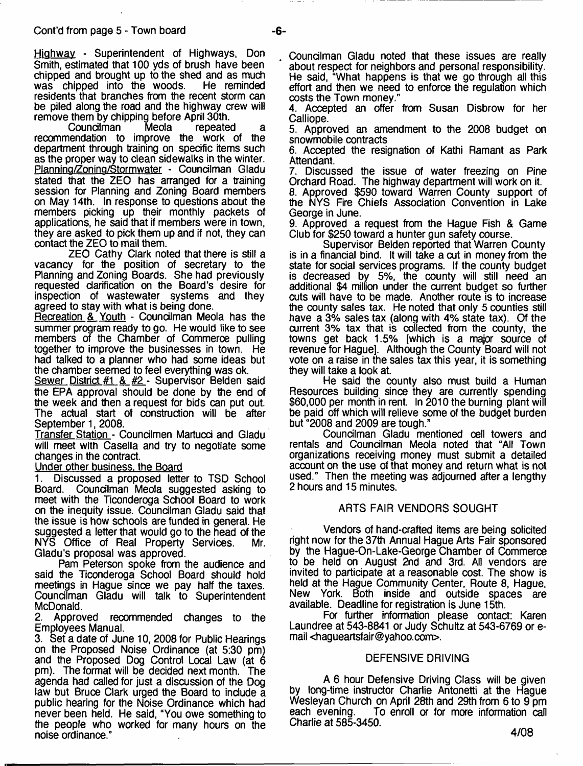Hiahwav - Superintendent of Highways, Don Smith, estimated that 100 yds of brush have been chipped and brought up to the shed and as much<br>was chipped into the woods. He reminded was chipped into the woods. residents that branches from the recent storm can be piled along the road and the highway crew will remove them by chipping before April 30th.<br>Councilman Meola repeated

Councilman Meola repeated a recommendation to improve the work of the department through training on specific items such as the proper way to clean sidewalks in the winter. Planning/Zoning/Stormwater - Councilman Gladu stated that the ZEO has arranged for a training session for Planning and Zoning Board members on May 14th. In response to questions about the members picking up their monthly packets of applications, he said that if members were in town, they are asked to pick them up and if not, they can contact the ZEO to mail them.

ZEO Cathy Clark noted that there is still a vacancy for the position of secretary to the Planning and Zoning Boards. She had previously requested clarification on the Board's desire for inspection of wastewater systems and they agreed to stay with what is being done.

Recreation & Youth - Councilman Meola has the summer program ready to go. He would like to see members of the Chamber of Commerce pulling together to improve the businesses in town. He had talked to a planner who had some ideas but the chamber seemed to feel everything was ok.

Sewer District #1 & #2 - Supervisor Belden said the EPA approval should be done by the end of the week and then a request for bids can put out. The actual start of construction will be after September 1, 2008

Transfer Station - Councilmen Martucci and Gladu will meet with Casella and try to negotiate some changes in the contract.

#### Under other business, the Board

Discussed a proposed letter to TSD School Board. Councilman Meola suggested asking to meet with the Ticonderoga School Board to work on the inequity issue. Coundlman Gladu said that the issue is how schools are funded in general. He suggested a letter that would go to the head of the NYS Office of Real Property Services. Mr. Gladu's proposal was approved.

Pam Peterson spoke from the audience and said the Ticonderoga School Board should hold meetings in Hague since we pay half the taxes. Coundlman Gladu will talk to Superintendent McDonald.<br>2. Appro

Approved recommended changes to the Employees Manual.<br>3. Set a date of Jun

Set a date of June 10, 2008 for Public Hearings on the Proposed Noise Ordinance (at 5:30 pm) and the Proposed Dog Control Local Law (at 6 pm). The format will be decided next month. The agenda had called for just a discussion of the Dog law but Bruce Clark urged the Board to indude a public hearing for the Noise Ordinance which had never been held. He said, "You owe something to the people who worked for many hours on the noise ordinance."

Councilman Gladu noted that these issues are really about respect for neighbors and personal responsibility. He said, "What happens is that we go through all this effort and then we need to enforce the regulation which costs the Town money."

4. Accepted an offer from Susan Disbrow for her Calliope.

5. Approved an amendment to the 2008 budget on snowmobile contracts

6. Accepted the resignation of Kathi Ramant as Park Attendant.

7. Discussed the issue of water freezing on Pine Orchard Road. The highway department will work on it.

8. Approved \$590 toward Warren County support of the NYS Fire Chiefs Association Convention in Lake George in June.

9. Approved a request from the Hague Fish & Game Club for \$250 toward a hunter gun safety course.

Supervisor Belden reported that Warren County is in a finandal bind. It will take a cut in money from the state for sodal services programs. If the county budget is decreased by 5%, the county will still need an additional \$4 million under the current budget so further cuts will have to be made. Another route is to increase the county sales tax. He noted that only 5 counties still have a 3% sales tax (along with 4% state tax). Of the current 3% tax that is collected from the county, the towns get back 1.5% [which is a major source of revenue for Hague]. Although the County Board will not vote on a raise in the sales tax this year, it is something they will take a look at.

He said the county also must build a Human Resources building since they are currently spending \$60,000 per month in rent. In 2010 the burning plant will be paid off which will relieve some of the budget burden but "2008 and 2009 are tough."

Coundlman Gladu mentioned cell towers and rentals and Coundlman Meola noted that "All Town organizations receiving money must submit a detailed account on the use of that money and return what is not used." Then the meeting was adjourned after a lengthy 2 hours and 15 minutes.

#### ARTS FAIR VENDORS SOUGHT

Vendors of hand-crafted items are being solicited right now for the 37th Annual Hague Arts Fair sponsored by the Hague-On-Lake-George Chamber of Commerce to be held on August 2nd and 3rd. All vendors are invited to participate at a reasonable cost. The show is held at the Hague Community Center, Route 8, Hague, New York. Both inside and outside spaces are available. Deadline for registration is June 15th.

For further information please contact: Karen Laundree at 543-8841 or Judy Schultz at 543-6769 or email <[hagueartsfair@yahoo.com>](mailto:hagueartsfair@yahoo.com).

#### DEFENSIVE DRIVING

A 6 hour Defensive Driving Class will be given by long-time instructor Charlie Antonetti at the Hague Wesleyan Church on April 28th and 29th from 6 to 9 pm To enroll or for more information call Charlie at 585-3450.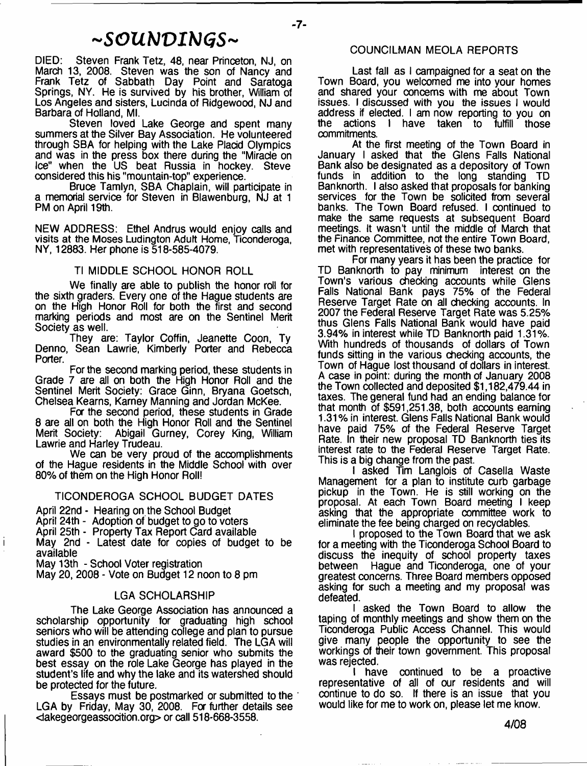# *~SOUbJVWGS~*

DIED: Steven Frank Tetz, 48, near Princeton, NJ, on March 13, 2008. Steven was the son of Nancy and Frank Tetz of Sabbath Day Point and Saratoga Springs, NY. He is survived by his brother, William of Los Angeles and sisters, Lucinda of Ridgewood, NJ and Barbara of Holland, Ml.

Steven loved Lake George and spent many summers at the Silver Bay Association. He volunteered through SBA for helping with the Lake Placid Olympics and was in the press box there during the "Miracle on Ice" when the US beat Russia in hockey. Steve considered this his "mountain-top" experience.

Bruce Tamlyn, SBA Chaplain, will participate in a memorial service for Steven in Blawenburg, NJ at 1 PM on April 19th.

NEW ADDRESS: Ethel Andrus would enjoy calls and visits at the Moses Ludington Adult Home, Ticonderoga, NY, 12883. Her phone is 518-585-4079.

#### Tl MIDDLE SCHOOL HONOR ROLL

We finally are able to publish the honor roll for the sixth graders. Every one of the Hague students are on the High Honor Roll for both the first and second marking periods and most are on the Sentinel Merit Society as well.

They are: Taylor Coffin, Jeanette Coon, Ty Denno, Sean Lawrie, Kimberly Porter and Rebecca Porter.

For the second marking period, these students in Grade 7 are all on both the High Honor Roll and the Sentinel Merit Society: Grace Ginn, Bryana Goetsch, Chelsea Kearns, Karney Manning and Jordan McKee.

For the second period, these students in Grade 8 are all on both the High Honor Roll and the Sentinel<br>Merit Society: Abigail Gurney, Corey King, William Abigail Gurney, Corey King, William Lawrie and Harley Trudeau.

We can be very proud of the accomplishments of the Hague residents in the Middle School with over 80% of them on the High Honor Roll!

#### TICONDEROGA SCHOOL BUDGET DATES

April 22nd - Hearing on the School Budget April 24th - Adoption of budget to go to voters April 25th - Property Tax Report Card available May 2nd - Latest date for copies of budget to be available

May 13th - School Voter registration

Ť

May 20, 2008 - Vote on Budget 12 noon to 8 pm

#### LGA SCHOLARSHIP

The Lake George Association has announced a scholarship opportunity for graduating high school seniors who will be attending college and plan to pursue studies in an environmentally related field. The LGA will award \$500 to the graduating senior who submits the best essay on the role Lake George has played in the student's life and why the lake and its watershed should be protected for the future.

Essays must be postmarked or submitted to the ' LGA by Friday, May 30, 2008. For further details see <dakegeorgeassocition.org> or call 518-668-3558.

#### COUNCILMAN MEOLA REPORTS

Last fall as I campaigned for a seat on the Town Board, you welcomed me into your homes and shared your concerns with me about Town issues. I discussed with you the issues I would address if elected. I am now reporting to you on<br>the actions I have taken to fulfill those actions I have taken to fulfill those commitments.

At the first meeting of the Town Board in January I asked that the Glens Falls National Bank also be designated as a depository of Town funds in addition to the long standing TD Banknorth. I also asked that proposals for banking services for the Town be solicited from several banks. The Town Board refused. I continued to make the same requests at subsequent Board meetings. It wasn't until the middle of March that the Finance Committee, not the entire Town Board, met with representatives of these two banks.

For many years it has been the practice for TD Banknorth to pay minimum interest on the Town's various checking accounts while Glens Falls National Bank pays 75% of the Federal Reserve Target Rate on all checking accounts. In 2007 the Federal Reserve Target Rate was 5.25% thus Glens Falls National Bank would have paid 3.94% in interest while TD Banknorth paid 1.31%. With hundreds of thousands of dollars of Town funds sitting in the various checking accounts, the Town of Hague lost thousand of dollars in interest. A case in point: during the month of January 2008 the Town collected and deposited \$1,182,479.44 in taxes. The general fund had an ending balance for that month of \$591,251.38, both accounts earning 1.31% in interest. Glens Falls National Bank would have paid 75% of the Federal Reserve Target Rate. In their new proposal TD Banknorth ties its interest rate to the Federal Reserve Target Rate. This is a big change from the past.

I asked Tim Langlois of Casella Waste Management for a plan to institute curb garbage pickup in the Town. He is still working on the proposal. At each Town Board meeting I keep asking that the appropriate committee work to eliminate the fee being charged on recyclables.

I proposed to the Town Board that we ask for a meeting with the Ticonderoga School Board to discuss the inequity of school property taxes between Hague and Ticonderoga, one of your greatest concerns. Three Board members opposed asking for such a meeting and my proposal was defeated.

I asked the Town Board to allow the taping of monthly meetings and show them on the Ticonderoga Public Access Channel. This would give many people the opportunity to see the workings of their town government. This proposal was rejected.

I have continued to be a proactive representative of all of our residents and will continue to do so. If there is an issue that you would like for me to work on, please let me know.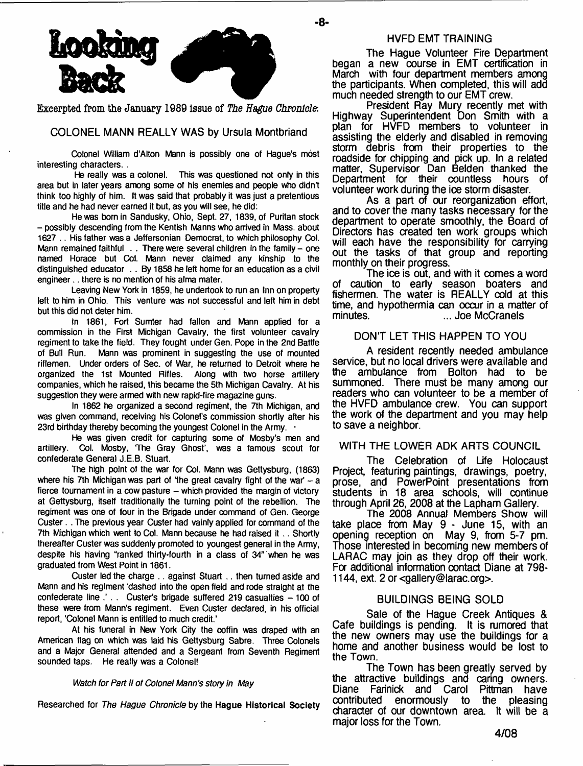

**Excerpted from the January 1989 Issue of** *The Hague Chronicle-.*

COLONEL MANN REALLY WAS by Ursula Montbriand

**Colonel William d'Alton Mann is possibly one of Hague's most interesting characters. .**

**He really was a colonel. This was questioned not only in this area but in later years among some of his enemies and people who didn't think too highly of him. It was said that probably it was just a pretentious title and he had never earned it but, as you will see, he did:**

**He was bom in Sandusky, Ohio, Sept. 27, 1839, of Puritan stock - possibly descending from the Kentish Manns who arrived in Mass. about 1627 .. His father was a Jeffersonian Democrat, to which philosophy Col. Mann remained faithful . . There were several children in the family - one named Horace but Col. Mann never claimed any kinship to the distinguished educator . . By 1858 he left home for an education as a civil engineer.. there is no mention of his alma mater.**

**Leaving New York in 1859, he undertook to run an Inn on property left to him in Ohio. This venture was not successful and left him in debt but this did not deter him.**

**In 1861, Fort Sumter had fallen and Mann applied for a commission in the First Michigan Cavalry, the first volunteer cavalry regiment to take the field. They fought under Gen. Pope in the 2nd Battle** Mann was prominent in suggesting the use of mounted **riflemen. Under orders of Sec. of War, he returned to Detroit where he organized the 1st Mounted Rifles. Along with two horse artillery companies, which he raised, this became the 5th Michigan Cavalry. At his suggestion they were armed with new rapid-fire magazine guns.**

**In 1862 he organized a second regiment, the 7th Michigan, and** was given command, receiving his Colonel's commission shortly after his 23rd birthday thereby becoming the youngest Colonel in the Army.

**He was given credit for capturing some of Mosby's men and artillery. Col. Mosby, The Gray Ghost', was a famous scout for confederate General J.E.B. Stuart.**

**The high point of the war for Col. Mann was Gettysburg, (1863)** where his 7th Michigan was part of the great cavalry fight of the war' - a fierce tournament in a cow pasture - which provided the margin of victory **at Gettysburg, itself traditionally the turning point of the rebellion. The regiment was one of four in the Brigade under command of Gen. George Custer. . The previous year Custer had vainly applied for command of the 7th Michigan which went to Col. Mann because he had raised it .. Shortly thereafter Custer was suddenly promoted to youngest general in the Army,** despite his having "ranked thirty-fourth in a class of 34" when he was **graduated from West Point in 1861.**

**Custer led the charge .. against Stuart .. then turned aside and Mann and his regiment 'dashed into the open field and rode straight at the confederate line .' . . Custer's brigade suffered 219 casualties - 100 of these were from Mann's regiment. Even Custer declared, in his official report, 'Colonel Mann is entitled to much credit.'**

**At his funeral in New York City the coffin was draped with an American flag on which was laid his Gettysburg Sabre. Three Colonels and a Major General attended and a Sergeant from Seventh Regiment sounded taps. He really was a Colonel!**

#### *Watch for Part H of Colonel Mann's story in May*

**Researched for** *The Hague Chronicle* **by the Hague Historical Society**

#### HVFDEMT TRAINING

- **8**-

The Hague Volunteer Fire Department began a new course in EMT certification in March with four department members among the participants. When completed, this will add much needed strength to our EMT crew.

President Ray Mury recently met with Highway Superintendent Don Smith with a plan for HVFD members to volunteer in assisting the elderly and disabled in removing storm debris from their properties to the roadside for chipping and pick up. In a related matter, Supervisor Dan Belden thanked the Department for their countless hours of volunteer work during the ice storm disaster.

As a part of our reorganization effort, and to cover the many tasks necessary for the department to operate smoothly, the Board of Directors has created ten work groups which will each have the responsibility for carrying out the tasks of that group and reporting monthly on their progress.

The ice is out, and with it comes a word of caution to early season boaters and fishermen. The water is REALLY cold at this time, and hypothermia can occur in a matter of ... Joe McCranels.

#### DON'T LET THIS HAPPEN TO YOU

A resident recently needed ambulance service, but no local drivers were available and the ambulance from Bolton had to be summoned. There must be many among our readers who can volunteer to be a member of the HVFD ambulance crew. You can support the work of the department and you may help to save a neighbor.

#### WITH THE LOWER ADK ARTS COUNCIL

The Celebration of Life Holocaust Project, featuring paintings, drawings, poetry, prose, and PowerPoint presentations from students in 18 area schools, will continue through April 26, 2008 at the Lapham Gallery.

The 2008 Annual Members Show will take place from May 9 - June 15, with an opening reception on May 9, from 5-7 pm. Those interested in becoming new members of LARAC may join as they drop off their work. For additional information contact Diane at 798- 1144, ext. 2 or <gallery@larac.org>.

## BUILDINGS BEING SOLD

Sale of the Hague Creek Antiques & Cafe buildings is pending. It is rumored that the new owners may use the buildings for a home and another business would be lost to the Town.

The Town has been greatly served by the attractive buildings and caring owners. Diane Farinick and Carol Pittman have contributed enormously to the pleasing character of our downtown area. It will be a major loss for the Town.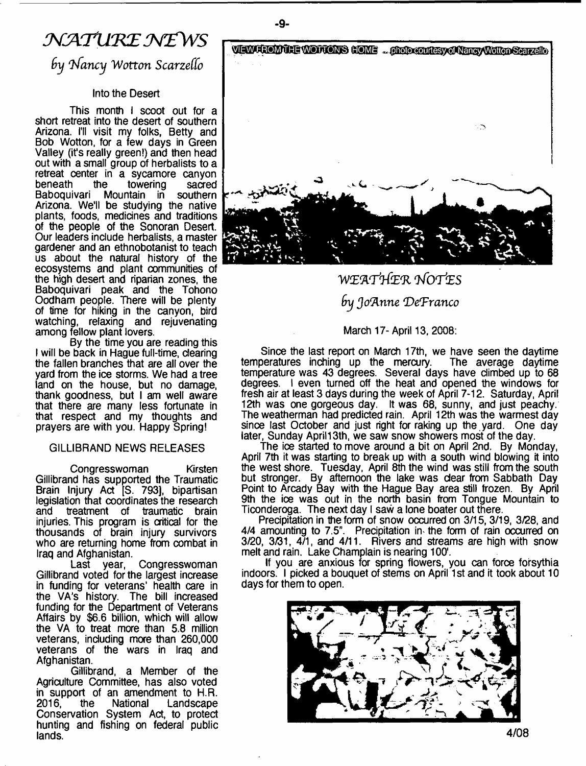# $\mathcal{N}$  ATURE NEWS

*9y Infancy Wotton Scarzeffo*

## Into the Desert

This month I scoot out for a short retreat into the desert of southern Arizona. I'll visit my folks, Betty and Bob Wotton, for a few days in Green Valley (it's really green!) and then head out with a small group of herbalists to a retreat center in a sycamore canyon beneath the towering sacred Baboquivari Mountain in southern Arizona. We'll be studying the native plants, foods, medicines and traditions of the people of the Sonoran Desert. Our leaders include herbalists, a master gardener and an ethnobotanist to teach us about the natural history of the ecosystems and plant communities of the high desert and riparian zones, the Baboquivari peak and the Tohono Oodham people. There will be plenty of time for hiking in the canyon, bird watching, relaxing and rejuvenating among fellow plant lovers.

By the time you are reading this I will be back in Hague full-time, dearing the fallen branches that are all over the yard from the ice storms. We had a tree land on the house, but no damage, thank goodness, but I am well aware that there are many less fortunate in that respect and my thoughts and prayers are with you. Happy Spring!

## GILLIBRAND NEWS RELEASES

Congresswoman Kirsten Gillibrand has supported the Traumatic Brain Injury Act [S. 793], bipartisan legislation that coordinates the research<br>and treatment of traumatic brain treatment of traumatic brain injuries. This program is critical for the thousands of brain injury survivors who are returning home from combat in

Iraq and Afghanistan. Congresswoman Gillibrand voted for the largest increase in funding for veterans' health care in the VA's history. The bill increased funding for the Department of Veterans Affairs by \$6.6 billion, which will allow the VA to treat more than 5.8 million veterans, including more than 260,000 veterans of the wars in Iraq and Afghanistan.

Gillibrand, a Member of the Agriculture Committee, has also voted in support of an amendment to H.R.<br>2016, the National Landscape Landscape Conservation System Act, to protect hunting and fishing on federal public lands.



*WZ'AT'l& 'R 9fOTtES by Joanne 'De'Franco*

## March 17-April 13, 2008:

Since the last report on March 17th, we have seen the daytime temperatures inching up the mercury. The average daytime temperature was 43 degrees. Several days have climbed up to 68 degrees. I even turned off the heat and opened the windows for fresh air at least 3 days during the week of April 7-12. Saturday, April 12th was one gorgeous day. It was 68, sunny, and just peachy. The weatherman had predicted rain. April 12th was the warmest day since last October and just right for raking up the yard. One day later, Sunday April 13th, we saw snow showers most of the day.

The ice started to move around a bit on April 2nd. By Monday, April 7th it was starting to break up with a south wind blowing it into the west shore. Tuesday, April 8th the wind was still from the south but stronger. By afternoon the lake was dear from Sabbath Day Point to Arcady Bay with the Hague Bay area still frozen. By April 9th the ice was out in the north basin from Tongue Mountain to Ticonderoga. The next day I saw a lone boater out there.

Precipitation in the form of snow occurred on 3/15, 3/19, 3/28, and 4/4 amounting to 7.5". Precipitation in- the form of rain occurred on 3/20, 3/31, 4/1, and 4/11. Rivers and streams are high with snow melt and rain. Lake Champlain is nearing 100'.

If you are anxious for spring flowers, you can force forsythia indoors. I picked a bouquet of stems on April 1st and it took about 10 days for them to open.



-9-